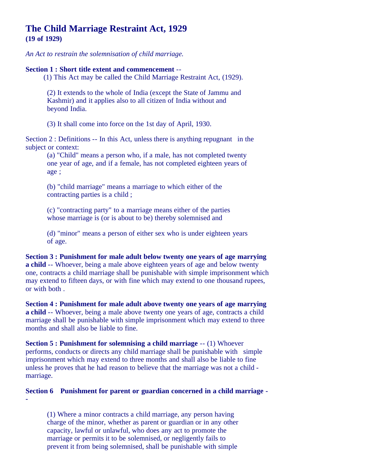# **The Child Marriage Restraint Act, 1929 (19 of 1929)**

*An Act to restrain the solemnisation of child marriage.*

### **Section 1 : Short title extent and commencement** --

(1) This Act may be called the Child Marriage Restraint Act, (1929).

(2) It extends to the whole of India (except the State of Jammu and Kashmir) and it applies also to all citizen of India without and beyond India.

(3) It shall come into force on the 1st day of April, 1930.

Section 2 : Definitions -- In this Act, unless there is anything repugnant in the subject or context:

(a) "Child" means a person who, if a male, has not completed twenty one year of age, and if a female, has not completed eighteen years of age ;

(b) "child marriage" means a marriage to which either of the contracting parties is a child ;

(c) "contracting party" to a marriage means either of the parties whose marriage is (or is about to be) thereby solemnised and

(d) "minor" means a person of either sex who is under eighteen years of age.

**Section 3 : Punishment for male adult below twenty one years of age marrying a child** -- Whoever, being a male above eighteen years of age and below twenty one, contracts a child marriage shall be punishable with simple imprisonment which may extend to fifteen days, or with fine which may extend to one thousand rupees, or with both .

**Section 4 : Punishment for male adult above twenty one years of age marrying a child** -- Whoever, being a male above twenty one years of age, contracts a child marriage shall be punishable with simple imprisonment which may extend to three months and shall also be liable to fine.

**Section 5 : Punishment for solemnising a child marriage** -- (1) Whoever performs, conducts or directs any child marriage shall be punishable with simple imprisonment which may extend to three months and shall also be liable to fine unless he proves that he had reason to believe that the marriage was not a child marriage.

## **Section 6 Punishment for parent or guardian concerned in a child marriage -**

**-**

(1) Where a minor contracts a child marriage, any person having charge of the minor, whether as parent or guardian or in any other capacity, lawful or unlawful, who does any act to promote the marriage or permits it to be solemnised, or negligently fails to prevent it from being solemnised, shall be punishable with simple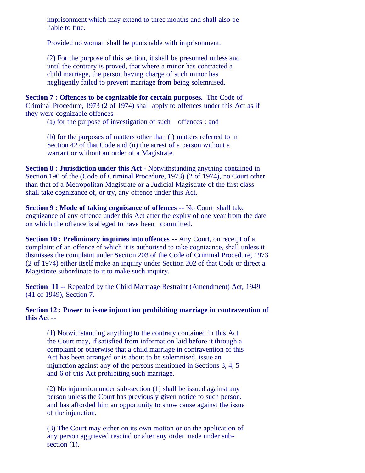imprisonment which may extend to three months and shall also be liable to fine.

Provided no woman shall be punishable with imprisonment.

(2) For the purpose of this section, it shall be presumed unless and until the contrary is proved, that where a minor has contracted a child marriage, the person having charge of such minor has negligently failed to prevent marriage from being solemnised.

**Section 7 : Offences to be cognizable for certain purposes.** The Code of Criminal Procedure, 1973 (2 of 1974) shall apply to offences under this Act as if they were cognizable offences -

(a) for the purpose of investigation of such offences : and

(b) for the purposes of matters other than (i) matters referred to in Section 42 of that Code and (ii) the arrest of a person without a warrant or without an order of a Magistrate.

**Section 8 : Jurisdiction under this Act** - Notwithstanding anything contained in Section 190 of the (Code of Criminal Procedure, 1973) (2 of 1974), no Court other than that of a Metropolitan Magistrate or a Judicial Magistrate of the first class shall take cognizance of, or try, any offence under this Act.

**Section 9 : Mode of taking cognizance of offences** -- No Court shall take cognizance of any offence under this Act after the expiry of one year from the date on which the offence is alleged to have been committed.

**Section 10 : Preliminary inquiries into offences** -- Any Court, on receipt of a complaint of an offence of which it is authorised to take cognizance, shall unless it dismisses the complaint under Section 203 of the Code of Criminal Procedure, 1973 (2 of 1974) either itself make an inquiry under Section 202 of that Code or direct a Magistrate subordinate to it to make such inquiry.

**Section 11** -- Repealed by the Child Marriage Restraint (Amendment) Act, 1949 (41 of 1949), Section 7.

### **Section 12 : Power to issue injunction prohibiting marriage in contravention of this Act** --

(1) Notwithstanding anything to the contrary contained in this Act the Court may, if satisfied from information laid before it through a complaint or otherwise that a child marriage in contravention of this Act has been arranged or is about to be solemnised, issue an injunction against any of the persons mentioned in Sections 3, 4, 5 and 6 of this Act prohibiting such marriage.

(2) No injunction under sub-section (1) shall be issued against any person unless the Court has previously given notice to such person, and has afforded him an opportunity to show cause against the issue of the injunction.

(3) The Court may either on its own motion or on the application of any person aggrieved rescind or alter any order made under subsection  $(1)$ .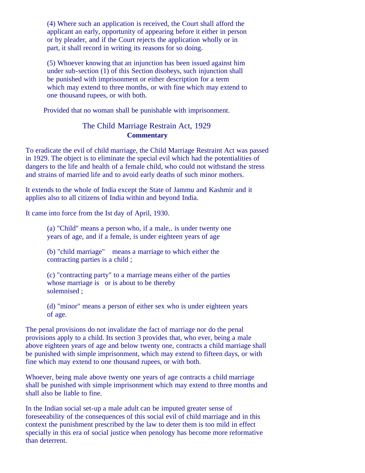(4) Where such an application is received, the Court shall afford the applicant an early, opportunity of appearing before it either in person or by pleader, and if the Court rejects the application wholly or in part, it shall record in writing its reasons for so doing.

(5) Whoever knowing that an injunction has been issued against him under sub-section (1) of this Section disobeys, such injunction shall be punished with imprisonment or either description for a term which may extend to three months, or with fine which may extend to one thousand rupees, or with both.

Provided that no woman shall be punishable with imprisonment.

# The Child Marriage Restrain Act, 1929 **Commentary**

To eradicate the evil of child marriage, the Child Marriage Restraint Act was passed in 1929. The object is to eliminate the special evil which had the potentialities of dangers to the life and health of a female child, who could not withstand the stress and strains of married life and to avoid early deaths of such minor mothers.

It extends to the whole of India except the State of Jammu and Kashmir and it applies also to all citizens of India within and beyond India.

It came into force from the Ist day of April, 1930.

(a) "Child" means a person who, if a male,. is under twenty one years of age, and if a female, is under eighteen years of age

(b) "child marriage" means a marriage to which either the contracting parties is a child ;

(c) "contracting party" to a marriage means either of the parties whose marriage is or is about to be thereby solemnised ;

(d) "minor" means a person of either sex who is under eighteen years of age.

The penal provisions do not invalidate the fact of marriage nor do the penal provisions apply to a child. Its section 3 provides that, who ever, being a male above eighteen years of age and below twenty one, contracts a child marriage shall be punished with simple imprisonment, which may extend to fifteen days, or with fine which may extend to one thousand rupees, or with both.

Whoever, being male above twenty one years of age contracts a child marriage shall be punished with simple imprisonment which may extend to three months and shall also be liable to fine.

In the Indian social set-up a male adult can be imputed greater sense of foreseeability of the consequences of this social evil of child marriage and in this context the punishment prescribed by the law to deter them is too mild in effect specially in this era of social justice when penology has become more reformative than deterrent.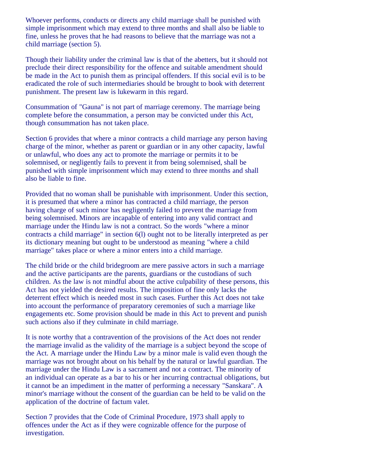Whoever performs, conducts or directs any child marriage shall be punished with simple imprisonment which may extend to three months and shall also be liable to fine, unless he proves that he had reasons to believe that the marriage was not a child marriage (section 5).

Though their liability under the criminal law is that of the abetters, but it should not preclude their direct responsibility for the offence and suitable amendment should be made in the Act to punish them as principal offenders. If this social evil is to be eradicated the role of such intermediaries should be brought to book with deterrent punishment. The present law is lukewarm in this regard.

Consummation of "Gauna" is not part of marriage ceremony. The marriage being complete before the consummation, a person may be convicted under this Act, though consummation has not taken place.

Section 6 provides that where a minor contracts a child marriage any person having charge of the minor, whether as parent or guardian or in any other capacity, lawful or unlawful, who does any act to promote the marriage or permits it to be solemnised, or negligently fails to prevent it from being solemnised, shall be punished with simple imprisonment which may extend to three months and shall also be liable to fine.

Provided that no woman shall be punishable with imprisonment. Under this section, it is presumed that where a minor has contracted a child marriage, the person having charge of such minor has negligently failed to prevent the marriage from being solemnised. Minors are incapable of entering into any valid contract and marriage under the Hindu law is not a contract. So the words "where a minor contracts a child marriage" in section 6(l) ought not to be literally interpreted as per its dictionary meaning but ought to be understood as meaning "where a child marriage" takes place or where a minor enters into a child marriage.

The child bride or the child bridegroom are mere passive actors in such a marriage and the active participants are the parents, guardians or the custodians of such children. As the law is not mindful about the active culpability of these persons, this Act has not yielded the desired results. The imposition of fine only lacks the deterrent effect which is needed most in such cases. Further this Act does not take into account the performance of preparatory ceremonies of such a marriage like engagements etc. Some provision should be made in this Act to prevent and punish such actions also if they culminate in child marriage.

It is note worthy that a contravention of the provisions of the Act does not render the marriage invalid as the validity of the marriage is a subject beyond the scope of the Act. A marriage under the Hindu Law by a minor male is valid even though the marriage was not brought about on his behalf by the natural or lawful guardian. The marriage under the Hindu Law is a sacrament and not a contract. The minority of an individual can operate as a bar to his or her incurring contractual obligations, but it cannot be an impediment in the matter of performing a necessary "Sanskara". A minor's marriage without the consent of the guardian can be held to be valid on the application of the doctrine of factum valet.

Section 7 provides that the Code of Criminal Procedure, 1973 shall apply to offences under the Act as if they were cognizable offence for the purpose of investigation.